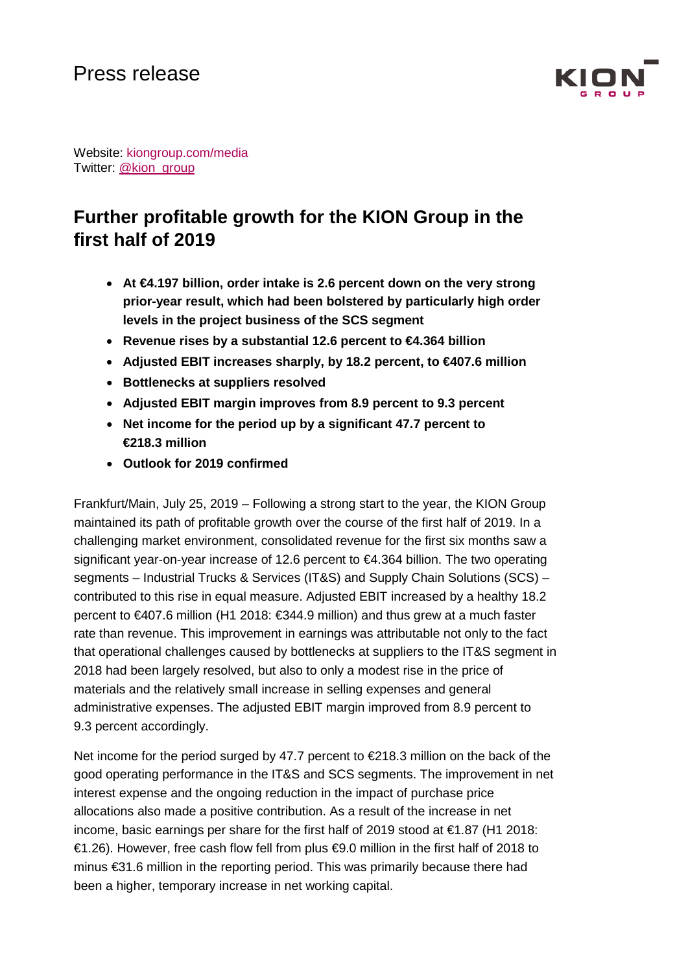

Website: kiongroup.com/media Twitter: [@kion\\_group](https://twitter.com/kion_group)

# **Further profitable growth for the KION Group in the first half of 2019**

- **At €4.197 billion, order intake is 2.6 percent down on the very strong prior-year result, which had been bolstered by particularly high order levels in the project business of the SCS segment**
- **Revenue rises by a substantial 12.6 percent to €4.364 billion**
- **Adjusted EBIT increases sharply, by 18.2 percent, to €407.6 million**
- **Bottlenecks at suppliers resolved**
- **Adjusted EBIT margin improves from 8.9 percent to 9.3 percent**
- **Net income for the period up by a significant 47.7 percent to €218.3 million**
- **Outlook for 2019 confirmed**

Frankfurt/Main, July 25, 2019 – Following a strong start to the year, the KION Group maintained its path of profitable growth over the course of the first half of 2019. In a challenging market environment, consolidated revenue for the first six months saw a significant year-on-year increase of 12.6 percent to €4.364 billion. The two operating segments – Industrial Trucks & Services (IT&S) and Supply Chain Solutions (SCS) – contributed to this rise in equal measure. Adjusted EBIT increased by a healthy 18.2 percent to €407.6 million (H1 2018: €344.9 million) and thus grew at a much faster rate than revenue. This improvement in earnings was attributable not only to the fact that operational challenges caused by bottlenecks at suppliers to the IT&S segment in 2018 had been largely resolved, but also to only a modest rise in the price of materials and the relatively small increase in selling expenses and general administrative expenses. The adjusted EBIT margin improved from 8.9 percent to 9.3 percent accordingly.

Net income for the period surged by 47.7 percent to  $\epsilon$ 218.3 million on the back of the good operating performance in the IT&S and SCS segments. The improvement in net interest expense and the ongoing reduction in the impact of purchase price allocations also made a positive contribution. As a result of the increase in net income, basic earnings per share for the first half of 2019 stood at €1.87 (H1 2018: €1.26). However, free cash flow fell from plus €9.0 million in the first half of 2018 to minus €31.6 million in the reporting period. This was primarily because there had been a higher, temporary increase in net working capital.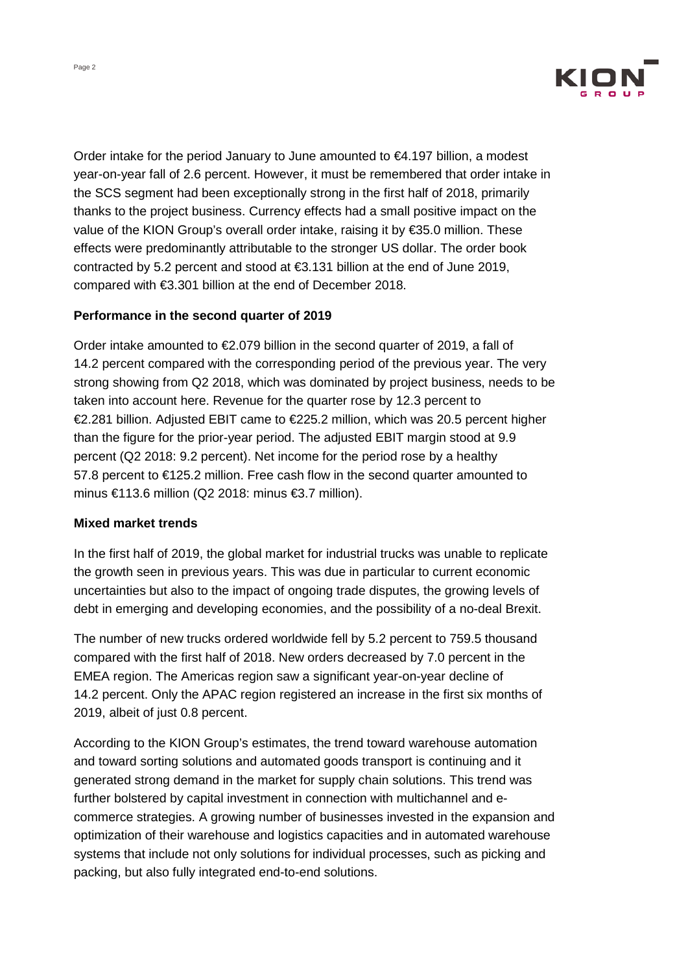

Order intake for the period January to June amounted to  $\epsilon$ 4.197 billion, a modest year-on-year fall of 2.6 percent. However, it must be remembered that order intake in the SCS segment had been exceptionally strong in the first half of 2018, primarily thanks to the project business. Currency effects had a small positive impact on the value of the KION Group's overall order intake, raising it by €35.0 million. These effects were predominantly attributable to the stronger US dollar. The order book contracted by 5.2 percent and stood at €3.131 billion at the end of June 2019, compared with €3.301 billion at the end of December 2018.

## **Performance in the second quarter of 2019**

Order intake amounted to €2.079 billion in the second quarter of 2019, a fall of 14.2 percent compared with the corresponding period of the previous year. The very strong showing from Q2 2018, which was dominated by project business, needs to be taken into account here. Revenue for the quarter rose by 12.3 percent to €2.281 billion. Adjusted EBIT came to €225.2 million, which was 20.5 percent higher than the figure for the prior-year period. The adjusted EBIT margin stood at 9.9 percent (Q2 2018: 9.2 percent). Net income for the period rose by a healthy 57.8 percent to €125.2 million. Free cash flow in the second quarter amounted to minus €113.6 million (Q2 2018: minus €3.7 million).

## **Mixed market trends**

In the first half of 2019, the global market for industrial trucks was unable to replicate the growth seen in previous years. This was due in particular to current economic uncertainties but also to the impact of ongoing trade disputes, the growing levels of debt in emerging and developing economies, and the possibility of a no-deal Brexit.

The number of new trucks ordered worldwide fell by 5.2 percent to 759.5 thousand compared with the first half of 2018. New orders decreased by 7.0 percent in the EMEA region. The Americas region saw a significant year-on-year decline of 14.2 percent. Only the APAC region registered an increase in the first six months of 2019, albeit of just 0.8 percent.

According to the KION Group's estimates, the trend toward warehouse automation and toward sorting solutions and automated goods transport is continuing and it generated strong demand in the market for supply chain solutions. This trend was further bolstered by capital investment in connection with multichannel and ecommerce strategies. A growing number of businesses invested in the expansion and optimization of their warehouse and logistics capacities and in automated warehouse systems that include not only solutions for individual processes, such as picking and packing, but also fully integrated end-to-end solutions.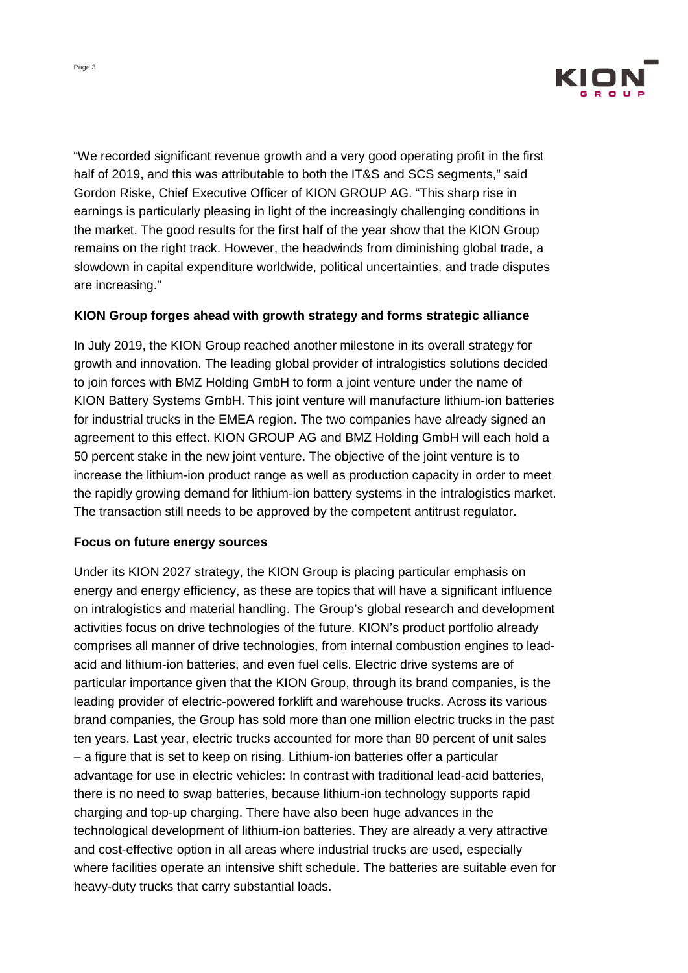

"We recorded significant revenue growth and a very good operating profit in the first half of 2019, and this was attributable to both the IT&S and SCS segments," said Gordon Riske, Chief Executive Officer of KION GROUP AG. "This sharp rise in earnings is particularly pleasing in light of the increasingly challenging conditions in the market. The good results for the first half of the year show that the KION Group remains on the right track. However, the headwinds from diminishing global trade, a slowdown in capital expenditure worldwide, political uncertainties, and trade disputes are increasing."

## **KION Group forges ahead with growth strategy and forms strategic alliance**

In July 2019, the KION Group reached another milestone in its overall strategy for growth and innovation. The leading global provider of intralogistics solutions decided to join forces with BMZ Holding GmbH to form a joint venture under the name of KION Battery Systems GmbH. This joint venture will manufacture lithium-ion batteries for industrial trucks in the EMEA region. The two companies have already signed an agreement to this effect. KION GROUP AG and BMZ Holding GmbH will each hold a 50 percent stake in the new joint venture. The objective of the joint venture is to increase the lithium-ion product range as well as production capacity in order to meet the rapidly growing demand for lithium-ion battery systems in the intralogistics market. The transaction still needs to be approved by the competent antitrust regulator.

## **Focus on future energy sources**

Under its KION 2027 strategy, the KION Group is placing particular emphasis on energy and energy efficiency, as these are topics that will have a significant influence on intralogistics and material handling. The Group's global research and development activities focus on drive technologies of the future. KION's product portfolio already comprises all manner of drive technologies, from internal combustion engines to leadacid and lithium-ion batteries, and even fuel cells. Electric drive systems are of particular importance given that the KION Group, through its brand companies, is the leading provider of electric-powered forklift and warehouse trucks. Across its various brand companies, the Group has sold more than one million electric trucks in the past ten years. Last year, electric trucks accounted for more than 80 percent of unit sales – a figure that is set to keep on rising. Lithium-ion batteries offer a particular advantage for use in electric vehicles: In contrast with traditional lead-acid batteries, there is no need to swap batteries, because lithium-ion technology supports rapid charging and top-up charging. There have also been huge advances in the technological development of lithium-ion batteries. They are already a very attractive and cost-effective option in all areas where industrial trucks are used, especially where facilities operate an intensive shift schedule. The batteries are suitable even for heavy-duty trucks that carry substantial loads.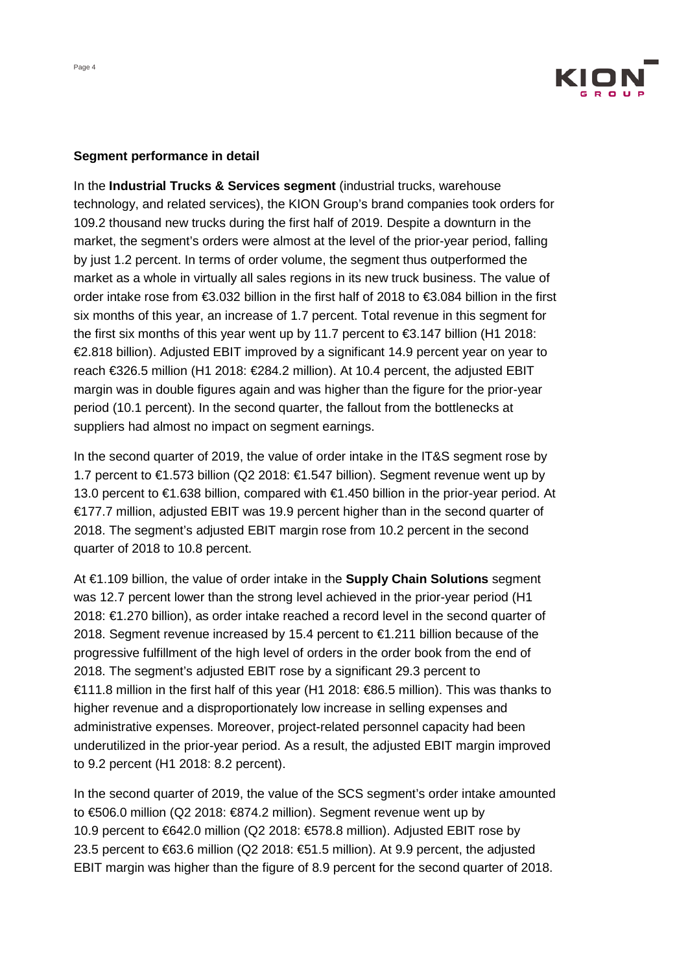

#### **Segment performance in detail**

In the **Industrial Trucks & Services segment** (industrial trucks, warehouse technology, and related services), the KION Group's brand companies took orders for 109.2 thousand new trucks during the first half of 2019. Despite a downturn in the market, the segment's orders were almost at the level of the prior-year period, falling by just 1.2 percent. In terms of order volume, the segment thus outperformed the market as a whole in virtually all sales regions in its new truck business. The value of order intake rose from €3.032 billion in the first half of 2018 to €3.084 billion in the first six months of this year, an increase of 1.7 percent. Total revenue in this segment for the first six months of this year went up by 11.7 percent to €3.147 billion (H1 2018: €2.818 billion). Adjusted EBIT improved by a significant 14.9 percent year on year to reach €326.5 million (H1 2018: €284.2 million). At 10.4 percent, the adjusted EBIT margin was in double figures again and was higher than the figure for the prior-year period (10.1 percent). In the second quarter, the fallout from the bottlenecks at suppliers had almost no impact on segment earnings.

In the second quarter of 2019, the value of order intake in the IT&S segment rose by 1.7 percent to €1.573 billion (Q2 2018: €1.547 billion). Segment revenue went up by 13.0 percent to €1.638 billion, compared with €1.450 billion in the prior-year period. At €177.7 million, adjusted EBIT was 19.9 percent higher than in the second quarter of 2018. The segment's adjusted EBIT margin rose from 10.2 percent in the second quarter of 2018 to 10.8 percent.

At €1.109 billion, the value of order intake in the **Supply Chain Solutions** segment was 12.7 percent lower than the strong level achieved in the prior-year period (H1 2018: €1.270 billion), as order intake reached a record level in the second quarter of 2018. Segment revenue increased by 15.4 percent to €1.211 billion because of the progressive fulfillment of the high level of orders in the order book from the end of 2018. The segment's adjusted EBIT rose by a significant 29.3 percent to €111.8 million in the first half of this year (H1 2018: €86.5 million). This was thanks to higher revenue and a disproportionately low increase in selling expenses and administrative expenses. Moreover, project-related personnel capacity had been underutilized in the prior-year period. As a result, the adjusted EBIT margin improved to 9.2 percent (H1 2018: 8.2 percent).

In the second quarter of 2019, the value of the SCS segment's order intake amounted to €506.0 million (Q2 2018: €874.2 million). Segment revenue went up by 10.9 percent to €642.0 million (Q2 2018: €578.8 million). Adjusted EBIT rose by 23.5 percent to  $63.6$  million (Q2 2018:  $651.5$  million). At 9.9 percent, the adjusted EBIT margin was higher than the figure of 8.9 percent for the second quarter of 2018.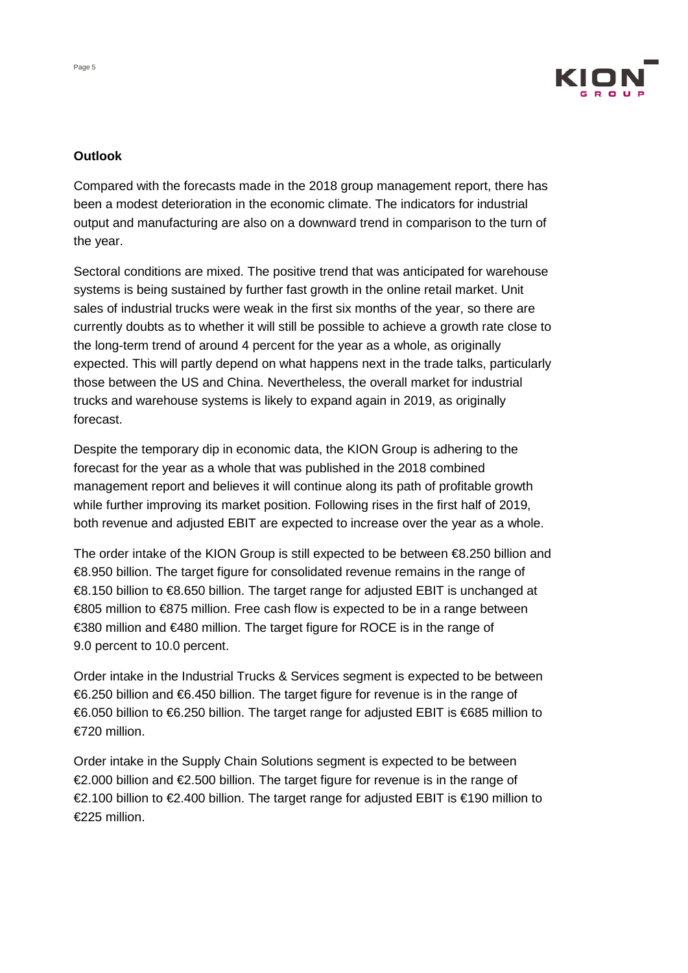

## **Outlook**

Compared with the forecasts made in the 2018 group management report, there has been a modest deterioration in the economic climate. The indicators for industrial output and manufacturing are also on a downward trend in comparison to the turn of the year.

Sectoral conditions are mixed. The positive trend that was anticipated for warehouse systems is being sustained by further fast growth in the online retail market. Unit sales of industrial trucks were weak in the first six months of the year, so there are currently doubts as to whether it will still be possible to achieve a growth rate close to the long-term trend of around 4 percent for the year as a whole, as originally expected. This will partly depend on what happens next in the trade talks, particularly those between the US and China. Nevertheless, the overall market for industrial trucks and warehouse systems is likely to expand again in 2019, as originally forecast.

Despite the temporary dip in economic data, the KION Group is adhering to the forecast for the year as a whole that was published in the 2018 combined management report and believes it will continue along its path of profitable growth while further improving its market position. Following rises in the first half of 2019, both revenue and adjusted EBIT are expected to increase over the year as a whole.

The order intake of the KION Group is still expected to be between €8.250 billion and €8.950 billion. The target figure for consolidated revenue remains in the range of €8.150 billion to €8.650 billion. The target range for adjusted EBIT is unchanged at €805 million to €875 million. Free cash flow is expected to be in a range between €380 million and €480 million. The target figure for ROCE is in the range of 9.0 percent to 10.0 percent.

Order intake in the Industrial Trucks & Services segment is expected to be between €6.250 billion and €6.450 billion. The target figure for revenue is in the range of €6.050 billion to €6.250 billion. The target range for adjusted EBIT is €685 million to €720 million.

Order intake in the Supply Chain Solutions segment is expected to be between €2.000 billion and €2.500 billion. The target figure for revenue is in the range of €2.100 billion to €2.400 billion. The target range for adjusted EBIT is €190 million to €225 million.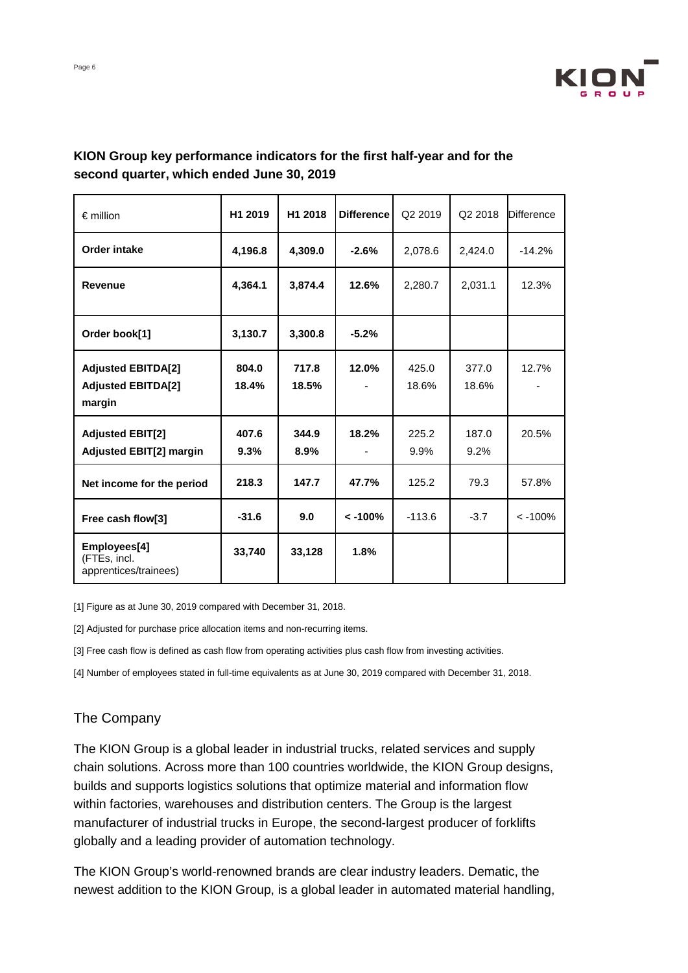

| $\epsilon$ million                                               | H1 2019        | H1 2018        | <b>Difference</b> | Q <sub>2</sub> 2019 | Q2 2018        | <b>Difference</b> |
|------------------------------------------------------------------|----------------|----------------|-------------------|---------------------|----------------|-------------------|
| <b>Order intake</b>                                              | 4,196.8        | 4,309.0        | $-2.6%$           | 2,078.6             | 2,424.0        | $-14.2%$          |
| <b>Revenue</b>                                                   | 4,364.1        | 3,874.4        | 12.6%             | 2,280.7             | 2,031.1        | 12.3%             |
| Order book[1]                                                    | 3,130.7        | 3,300.8        | $-5.2%$           |                     |                |                   |
| <b>Adjusted EBITDA[2]</b><br><b>Adjusted EBITDA[2]</b><br>margin | 804.0<br>18.4% | 717.8<br>18.5% | 12.0%             | 425.0<br>18.6%      | 377.0<br>18.6% | 12.7%             |
| <b>Adjusted EBIT[2]</b><br><b>Adjusted EBIT[2] margin</b>        | 407.6<br>9.3%  | 344.9<br>8.9%  | 18.2%             | 225.2<br>9.9%       | 187.0<br>9.2%  | 20.5%             |
| Net income for the period                                        | 218.3          | 147.7          | 47.7%             | 125.2               | 79.3           | 57.8%             |
| Free cash flow[3]                                                | $-31.6$        | 9.0            | $< -100%$         | $-113.6$            | $-3.7$         | $< -100%$         |
| Employees[4]<br>(FTEs, incl.<br>apprentices/trainees)            | 33,740         | 33,128         | 1.8%              |                     |                |                   |

# **KION Group key performance indicators for the first half-year and for the second quarter, which ended June 30, 2019**

[1] Figure as at June 30, 2019 compared with December 31, 2018.

[2] Adjusted for purchase price allocation items and non-recurring items.

[3] Free cash flow is defined as cash flow from operating activities plus cash flow from investing activities.

[4] Number of employees stated in full-time equivalents as at June 30, 2019 compared with December 31, 2018.

## The Company

The KION Group is a global leader in industrial trucks, related services and supply chain solutions. Across more than 100 countries worldwide, the KION Group designs, builds and supports logistics solutions that optimize material and information flow within factories, warehouses and distribution centers. The Group is the largest manufacturer of industrial trucks in Europe, the second-largest producer of forklifts globally and a leading provider of automation technology.

The KION Group's world-renowned brands are clear industry leaders. Dematic, the newest addition to the KION Group, is a global leader in automated material handling,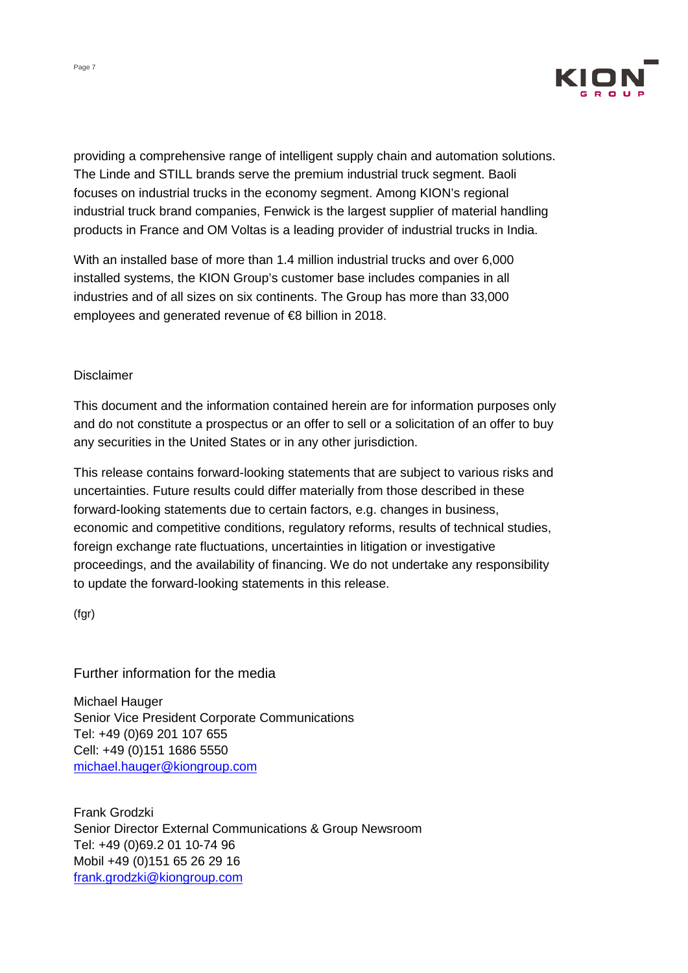

providing a comprehensive range of intelligent supply chain and automation solutions. The Linde and STILL brands serve the premium industrial truck segment. Baoli focuses on industrial trucks in the economy segment. Among KION's regional industrial truck brand companies, Fenwick is the largest supplier of material handling products in France and OM Voltas is a leading provider of industrial trucks in India.

With an installed base of more than 1.4 million industrial trucks and over 6,000 installed systems, the KION Group's customer base includes companies in all industries and of all sizes on six continents. The Group has more than 33,000 employees and generated revenue of €8 billion in 2018.

## Disclaimer

This document and the information contained herein are for information purposes only and do not constitute a prospectus or an offer to sell or a solicitation of an offer to buy any securities in the United States or in any other jurisdiction.

This release contains forward-looking statements that are subject to various risks and uncertainties. Future results could differ materially from those described in these forward-looking statements due to certain factors, e.g. changes in business, economic and competitive conditions, regulatory reforms, results of technical studies, foreign exchange rate fluctuations, uncertainties in litigation or investigative proceedings, and the availability of financing. We do not undertake any responsibility to update the forward-looking statements in this release.

(fgr)

## Further information for the media

Michael Hauger Senior Vice President Corporate Communications Tel: +49 (0)69 201 107 655 Cell: +49 (0)151 1686 5550 [michael.hauger@kiongroup.com](mailto:michael.hauger@kiongroup.com)

Frank Grodzki Senior Director External Communications & Group Newsroom Tel: +49 (0)69.2 01 10-74 96 Mobil +49 (0)151 65 26 29 16 [frank.grodzki@kiongroup.com](mailto:frank.grodzki@kiongroup.com)